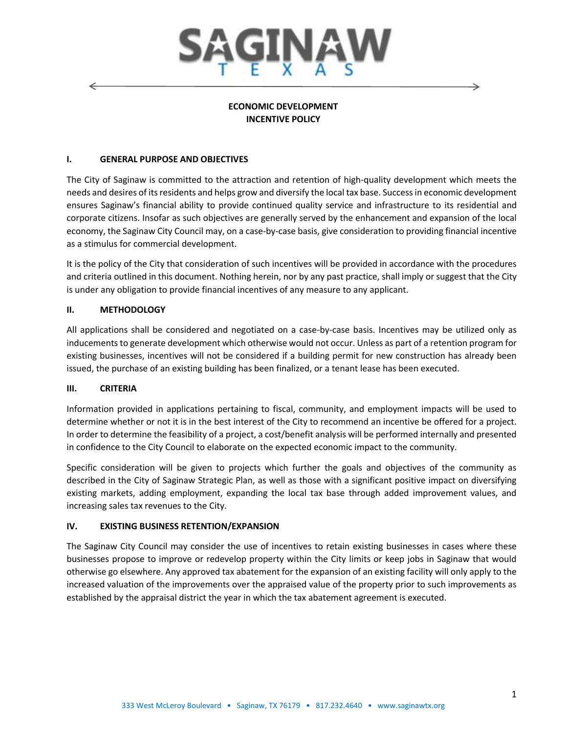

# **ECONOMIC DEVELOPMENT INCENTIVE POLICY**

#### **I. GENERAL PURPOSE AND OBJECTIVES**

The City of Saginaw is committed to the attraction and retention of high-quality development which meets the needs and desires of its residents and helps grow and diversify the local tax base. Success in economic development ensures Saginaw's financial ability to provide continued quality service and infrastructure to its residential and corporate citizens. Insofar as such objectives are generally served by the enhancement and expansion of the local economy, the Saginaw City Council may, on a case-by-case basis, give consideration to providing financial incentive as a stimulus for commercial development.

It is the policy of the City that consideration of such incentives will be provided in accordance with the procedures and criteria outlined in this document. Nothing herein, nor by any past practice, shall imply or suggest that the City is under any obligation to provide financial incentives of any measure to any applicant.

# **II. METHODOLOGY**

All applications shall be considered and negotiated on a case-by-case basis. Incentives may be utilized only as inducements to generate development which otherwise would not occur. Unless as part of a retention program for existing businesses, incentives will not be considered if a building permit for new construction has already been issued, the purchase of an existing building has been finalized, or a tenant lease has been executed.

#### **III. CRITERIA**

Information provided in applications pertaining to fiscal, community, and employment impacts will be used to determine whether or not it is in the best interest of the City to recommend an incentive be offered for a project. In order to determine the feasibility of a project, a cost/benefit analysis will be performed internally and presented in confidence to the City Council to elaborate on the expected economic impact to the community.

Specific consideration will be given to projects which further the goals and objectives of the community as described in the City of Saginaw Strategic Plan, as well as those with a significant positive impact on diversifying existing markets, adding employment, expanding the local tax base through added improvement values, and increasing sales tax revenues to the City.

#### **IV. EXISTING BUSINESS RETENTION/EXPANSION**

The Saginaw City Council may consider the use of incentives to retain existing businesses in cases where these businesses propose to improve or redevelop property within the City limits or keep jobs in Saginaw that would otherwise go elsewhere. Any approved tax abatement for the expansion of an existing facility will only apply to the increased valuation of the improvements over the appraised value of the property prior to such improvements as established by the appraisal district the year in which the tax abatement agreement is executed.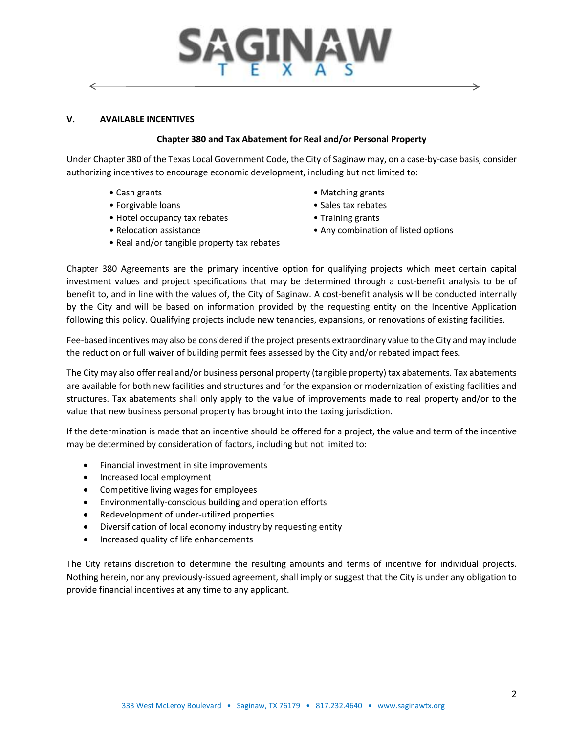# INA ←

#### **V. AVAILABLE INCENTIVES**

#### **Chapter 380 and Tax Abatement for Real and/or Personal Property**

Under Chapter 380 of the Texas Local Government Code, the City of Saginaw may, on a case-by-case basis, consider authorizing incentives to encourage economic development, including but not limited to:

- 
- 
- Hotel occupancy tax rebates Training grants
- 
- Real and/or tangible property tax rebates
- Cash grants Matching grants
- Forgivable loans Sales tax rebates
	-
- Relocation assistance  **Any combination of listed options**

Chapter 380 Agreements are the primary incentive option for qualifying projects which meet certain capital investment values and project specifications that may be determined through a cost-benefit analysis to be of benefit to, and in line with the values of, the City of Saginaw. A cost-benefit analysis will be conducted internally by the City and will be based on information provided by the requesting entity on the Incentive Application following this policy. Qualifying projects include new tenancies, expansions, or renovations of existing facilities.

Fee-based incentives may also be considered if the project presents extraordinary value to the City and may include the reduction or full waiver of building permit fees assessed by the City and/or rebated impact fees.

The City may also offer real and/or business personal property (tangible property) tax abatements. Tax abatements are available for both new facilities and structures and for the expansion or modernization of existing facilities and structures. Tax abatements shall only apply to the value of improvements made to real property and/or to the value that new business personal property has brought into the taxing jurisdiction.

If the determination is made that an incentive should be offered for a project, the value and term of the incentive may be determined by consideration of factors, including but not limited to:

- Financial investment in site improvements
- Increased local employment
- Competitive living wages for employees
- Environmentally-conscious building and operation efforts
- Redevelopment of under-utilized properties
- Diversification of local economy industry by requesting entity
- Increased quality of life enhancements

The City retains discretion to determine the resulting amounts and terms of incentive for individual projects. Nothing herein, nor any previously-issued agreement, shall imply or suggest that the City is under any obligation to provide financial incentives at any time to any applicant.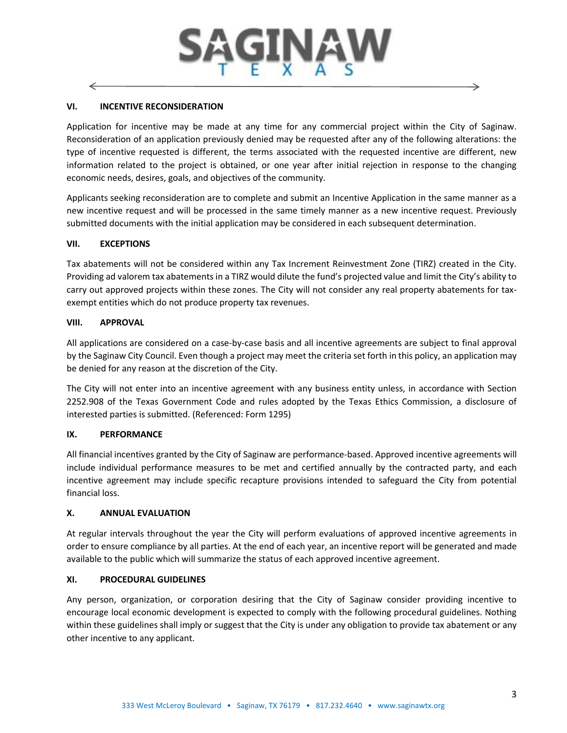# **VI. INCENTIVE RECONSIDERATION**

Application for incentive may be made at any time for any commercial project within the City of Saginaw. Reconsideration of an application previously denied may be requested after any of the following alterations: the type of incentive requested is different, the terms associated with the requested incentive are different, new information related to the project is obtained, or one year after initial rejection in response to the changing economic needs, desires, goals, and objectives of the community.

Applicants seeking reconsideration are to complete and submit an Incentive Application in the same manner as a new incentive request and will be processed in the same timely manner as a new incentive request. Previously submitted documents with the initial application may be considered in each subsequent determination.

#### **VII. EXCEPTIONS**

Tax abatements will not be considered within any Tax Increment Reinvestment Zone (TIRZ) created in the City. Providing ad valorem tax abatements in a TIRZ would dilute the fund's projected value and limit the City's ability to carry out approved projects within these zones. The City will not consider any real property abatements for taxexempt entities which do not produce property tax revenues.

#### **VIII. APPROVAL**

All applications are considered on a case-by-case basis and all incentive agreements are subject to final approval by the Saginaw City Council. Even though a project may meet the criteria set forth in this policy, an application may be denied for any reason at the discretion of the City.

The City will not enter into an incentive agreement with any business entity unless, in accordance with Section 2252.908 of the Texas Government Code and rules adopted by the Texas Ethics Commission, a disclosure of interested parties is submitted. (Referenced: Form 1295)

# **IX. PERFORMANCE**

All financial incentives granted by the City of Saginaw are performance-based. Approved incentive agreements will include individual performance measures to be met and certified annually by the contracted party, and each incentive agreement may include specific recapture provisions intended to safeguard the City from potential financial loss.

#### **X. ANNUAL EVALUATION**

At regular intervals throughout the year the City will perform evaluations of approved incentive agreements in order to ensure compliance by all parties. At the end of each year, an incentive report will be generated and made available to the public which will summarize the status of each approved incentive agreement.

#### **XI. PROCEDURAL GUIDELINES**

Any person, organization, or corporation desiring that the City of Saginaw consider providing incentive to encourage local economic development is expected to comply with the following procedural guidelines. Nothing within these guidelines shall imply or suggest that the City is under any obligation to provide tax abatement or any other incentive to any applicant.

→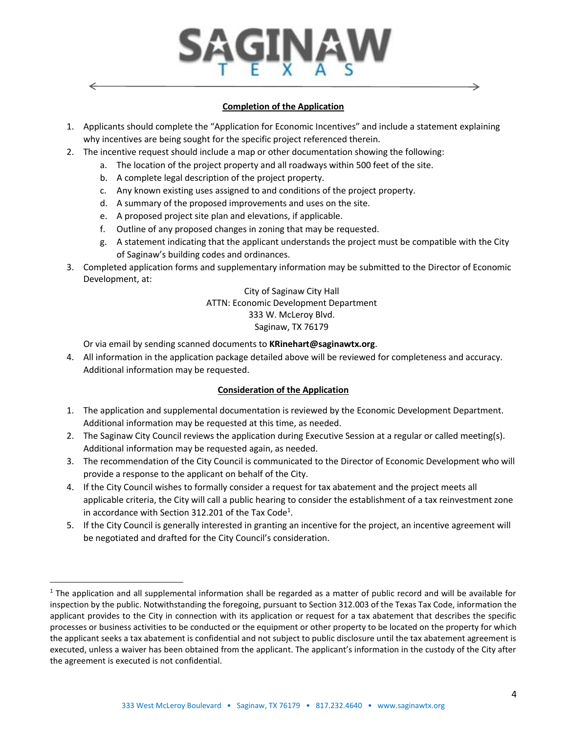

#### **Completion of the Application**

- 1. Applicants should complete the "Application for Economic Incentives" and include a statement explaining why incentives are being sought for the specific project referenced therein.
- 2. The incentive request should include a map or other documentation showing the following:
	- a. The location of the project property and all roadways within 500 feet of the site.
	- b. A complete legal description of the project property.
	- c. Any known existing uses assigned to and conditions of the project property.
	- d. A summary of the proposed improvements and uses on the site.
	- e. A proposed project site plan and elevations, if applicable.
	- f. Outline of any proposed changes in zoning that may be requested.
	- g. A statement indicating that the applicant understands the project must be compatible with the City of Saginaw's building codes and ordinances.
- 3. Completed application forms and supplementary information may be submitted to the Director of Economic Development, at:

City of Saginaw City Hall ATTN: Economic Development Department 333 W. McLeroy Blvd. Saginaw, TX 76179

Or via email by sending scanned documents to **KRinehart@saginawtx.org**.

 $\overline{\phantom{a}}$ 

4. All information in the application package detailed above will be reviewed for completeness and accuracy. Additional information may be requested.

# **Consideration of the Application**

- 1. The application and supplemental documentation is reviewed by the Economic Development Department. Additional information may be requested at this time, as needed.
- 2. The Saginaw City Council reviews the application during Executive Session at a regular or called meeting(s). Additional information may be requested again, as needed.
- 3. The recommendation of the City Council is communicated to the Director of Economic Development who will provide a response to the applicant on behalf of the City.
- 4. If the City Council wishes to formally consider a request for tax abatement and the project meets all applicable criteria, the City will call a public hearing to consider the establishment of a tax reinvestment zone in accordance with Section 312.201 of the Tax Code<sup>1</sup>.
- 5. If the City Council is generally interested in granting an incentive for the project, an incentive agreement will be negotiated and drafted for the City Council's consideration.

 $1$  The application and all supplemental information shall be regarded as a matter of public record and will be available for inspection by the public. Notwithstanding the foregoing, pursuant to Section 312.003 of the Texas Tax Code, information the applicant provides to the City in connection with its application or request for a tax abatement that describes the specific processes or business activities to be conducted or the equipment or other property to be located on the property for which the applicant seeks a tax abatement is confidential and not subject to public disclosure until the tax abatement agreement is executed, unless a waiver has been obtained from the applicant. The applicant's information in the custody of the City after the agreement is executed is not confidential.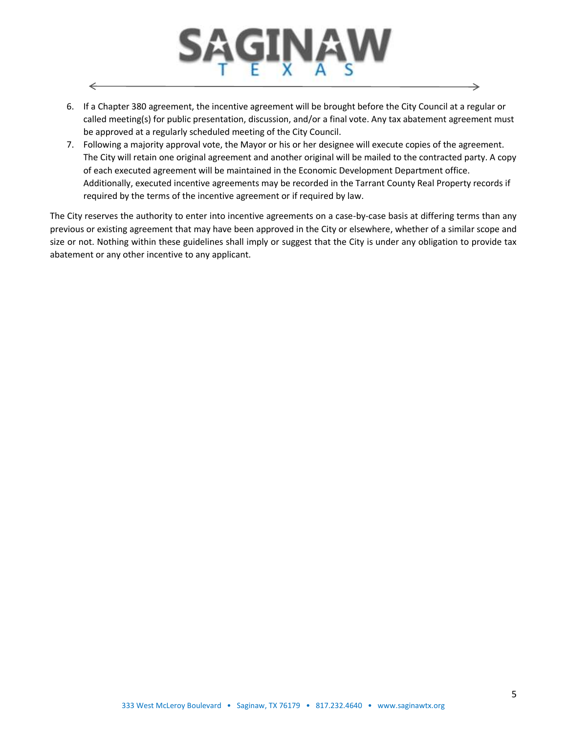

 $\leftarrow$ 

- 6. If a Chapter 380 agreement, the incentive agreement will be brought before the City Council at a regular or called meeting(s) for public presentation, discussion, and/or a final vote. Any tax abatement agreement must be approved at a regularly scheduled meeting of the City Council.
- 7. Following a majority approval vote, the Mayor or his or her designee will execute copies of the agreement. The City will retain one original agreement and another original will be mailed to the contracted party. A copy of each executed agreement will be maintained in the Economic Development Department office. Additionally, executed incentive agreements may be recorded in the Tarrant County Real Property records if required by the terms of the incentive agreement or if required by law.

The City reserves the authority to enter into incentive agreements on a case-by-case basis at differing terms than any previous or existing agreement that may have been approved in the City or elsewhere, whether of a similar scope and size or not. Nothing within these guidelines shall imply or suggest that the City is under any obligation to provide tax abatement or any other incentive to any applicant.

→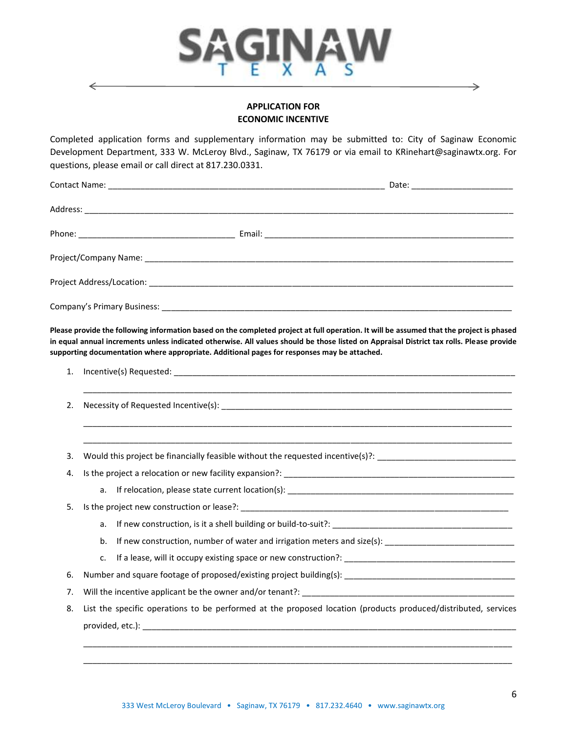

#### **APPLICATION FOR ECONOMIC INCENTIVE**

Completed application forms and supplementary information may be submitted to: City of Saginaw Economic Development Department, 333 W. McLeroy Blvd., Saginaw, TX 76179 or via email to KRinehart@saginawtx.org. For questions, please email or call direct at 817.230.0331.

| Please provide the following information based on the completed project at full operation. It will be assumed that the project is phased<br>in equal annual increments unless indicated otherwise. All values should be those listed on Appraisal District tax rolls. Please provide<br>supporting documentation where appropriate. Additional pages for responses may be attached. |  |
|-------------------------------------------------------------------------------------------------------------------------------------------------------------------------------------------------------------------------------------------------------------------------------------------------------------------------------------------------------------------------------------|--|

| 1. |                                                                                                                |  |
|----|----------------------------------------------------------------------------------------------------------------|--|
| 2. |                                                                                                                |  |
| 3. | Would this project be financially feasible without the requested incentive(s)?: ______________________________ |  |
| 4. |                                                                                                                |  |
|    |                                                                                                                |  |
| 5. |                                                                                                                |  |
|    | a.                                                                                                             |  |
|    | If new construction, number of water and irrigation meters and size(s): ____________________________<br>b.     |  |
|    | c.                                                                                                             |  |
| 6. |                                                                                                                |  |
| 7. |                                                                                                                |  |
| 8. | List the specific operations to be performed at the proposed location (products produced/distributed, services |  |
|    |                                                                                                                |  |

\_\_\_\_\_\_\_\_\_\_\_\_\_\_\_\_\_\_\_\_\_\_\_\_\_\_\_\_\_\_\_\_\_\_\_\_\_\_\_\_\_\_\_\_\_\_\_\_\_\_\_\_\_\_\_\_\_\_\_\_\_\_\_\_\_\_\_\_\_\_\_\_\_\_\_\_\_\_\_\_\_\_\_\_\_\_\_\_\_\_\_\_\_ \_\_\_\_\_\_\_\_\_\_\_\_\_\_\_\_\_\_\_\_\_\_\_\_\_\_\_\_\_\_\_\_\_\_\_\_\_\_\_\_\_\_\_\_\_\_\_\_\_\_\_\_\_\_\_\_\_\_\_\_\_\_\_\_\_\_\_\_\_\_\_\_\_\_\_\_\_\_\_\_\_\_\_\_\_\_\_\_\_\_\_\_\_